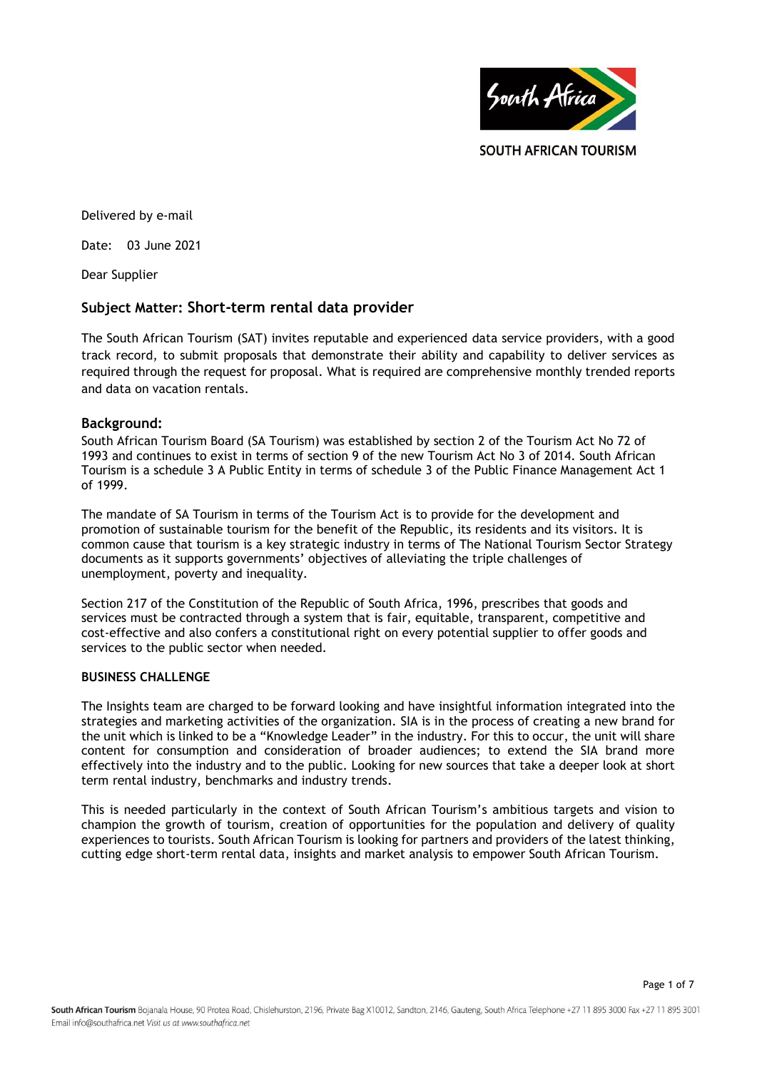

Page 1 of 7

Delivered by e-mail

Date: 03 June 2021

Dear Supplier

# **Subject Matter: Short-term rental data provider**

The South African Tourism (SAT) invites reputable and experienced data service providers, with a good track record, to submit proposals that demonstrate their ability and capability to deliver services as required through the request for proposal. What is required are comprehensive monthly trended reports and data on vacation rentals.

# **Background:**

South African Tourism Board (SA Tourism) was established by section 2 of the Tourism Act No 72 of 1993 and continues to exist in terms of section 9 of the new Tourism Act No 3 of 2014. South African Tourism is a schedule 3 A Public Entity in terms of schedule 3 of the Public Finance Management Act 1 of 1999.

The mandate of SA Tourism in terms of the Tourism Act is to provide for the development and promotion of sustainable tourism for the benefit of the Republic, its residents and its visitors. It is common cause that tourism is a key strategic industry in terms of The National Tourism Sector Strategy documents as it supports governments' objectives of alleviating the triple challenges of unemployment, poverty and inequality.

Section 217 of the Constitution of the Republic of South Africa, 1996, prescribes that goods and services must be contracted through a system that is fair, equitable, transparent, competitive and cost-effective and also confers a constitutional right on every potential supplier to offer goods and services to the public sector when needed.

# **BUSINESS CHALLENGE**

The Insights team are charged to be forward looking and have insightful information integrated into the strategies and marketing activities of the organization. SIA is in the process of creating a new brand for the unit which is linked to be a "Knowledge Leader" in the industry. For this to occur, the unit will share content for consumption and consideration of broader audiences; to extend the SIA brand more effectively into the industry and to the public. Looking for new sources that take a deeper look at short term rental industry, benchmarks and industry trends.

This is needed particularly in the context of South African Tourism's ambitious targets and vision to champion the growth of tourism, creation of opportunities for the population and delivery of quality experiences to tourists. South African Tourism is looking for partners and providers of the latest thinking, cutting edge short-term rental data, insights and market analysis to empower South African Tourism.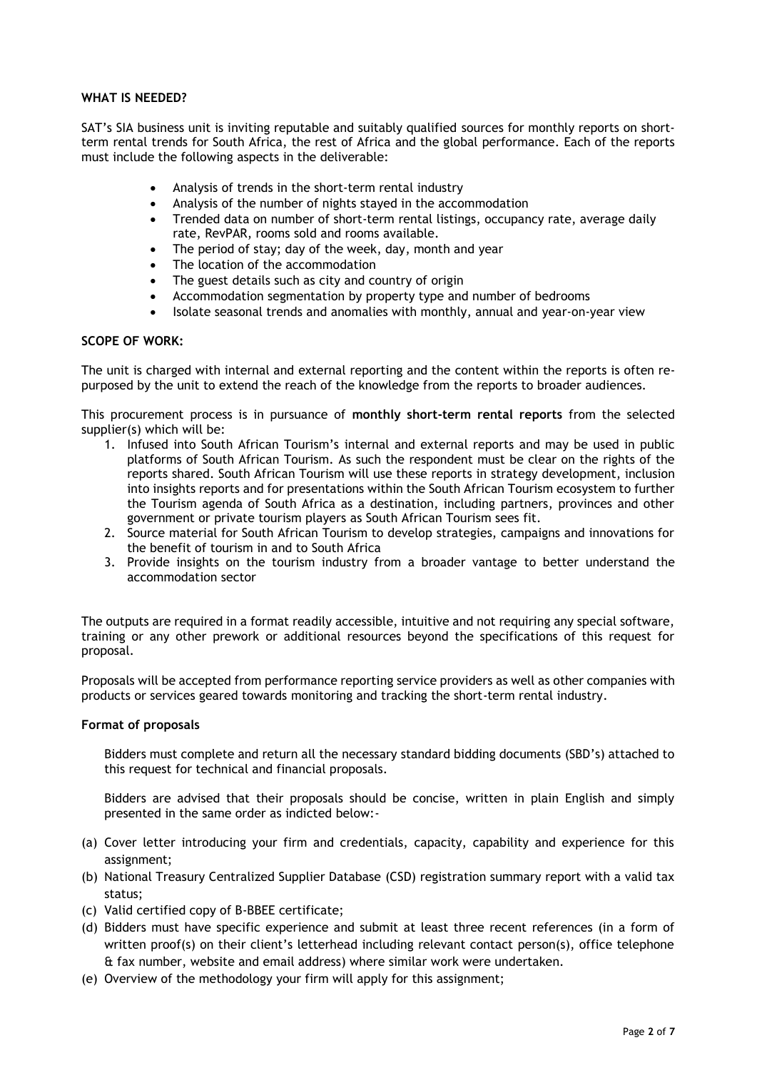# **WHAT IS NEEDED?**

SAT's SIA business unit is inviting reputable and suitably qualified sources for monthly reports on shortterm rental trends for South Africa, the rest of Africa and the global performance. Each of the reports must include the following aspects in the deliverable:

- Analysis of trends in the short-term rental industry
- Analysis of the number of nights stayed in the accommodation
- Trended data on number of short-term rental listings, occupancy rate, average daily rate, RevPAR, rooms sold and rooms available.
- The period of stay; day of the week, day, month and year
- The location of the accommodation
- The guest details such as city and country of origin
- Accommodation segmentation by property type and number of bedrooms
- Isolate seasonal trends and anomalies with monthly, annual and year-on-year view

#### **SCOPE OF WORK:**

The unit is charged with internal and external reporting and the content within the reports is often repurposed by the unit to extend the reach of the knowledge from the reports to broader audiences.

This procurement process is in pursuance of **monthly short-term rental reports** from the selected supplier(s) which will be:

- 1. Infused into South African Tourism's internal and external reports and may be used in public platforms of South African Tourism. As such the respondent must be clear on the rights of the reports shared. South African Tourism will use these reports in strategy development, inclusion into insights reports and for presentations within the South African Tourism ecosystem to further the Tourism agenda of South Africa as a destination, including partners, provinces and other government or private tourism players as South African Tourism sees fit.
- 2. Source material for South African Tourism to develop strategies, campaigns and innovations for the benefit of tourism in and to South Africa
- 3. Provide insights on the tourism industry from a broader vantage to better understand the accommodation sector

The outputs are required in a format readily accessible, intuitive and not requiring any special software, training or any other prework or additional resources beyond the specifications of this request for proposal.

Proposals will be accepted from performance reporting service providers as well as other companies with products or services geared towards monitoring and tracking the short-term rental industry.

#### **Format of proposals**

Bidders must complete and return all the necessary standard bidding documents (SBD's) attached to this request for technical and financial proposals.

Bidders are advised that their proposals should be concise, written in plain English and simply presented in the same order as indicted below:-

- (a) Cover letter introducing your firm and credentials, capacity, capability and experience for this assignment;
- (b) National Treasury Centralized Supplier Database (CSD) registration summary report with a valid tax status;
- (c) Valid certified copy of B-BBEE certificate;
- (d) Bidders must have specific experience and submit at least three recent references (in a form of written proof(s) on their client's letterhead including relevant contact person(s), office telephone & fax number, website and email address) where similar work were undertaken.
- (e) Overview of the methodology your firm will apply for this assignment;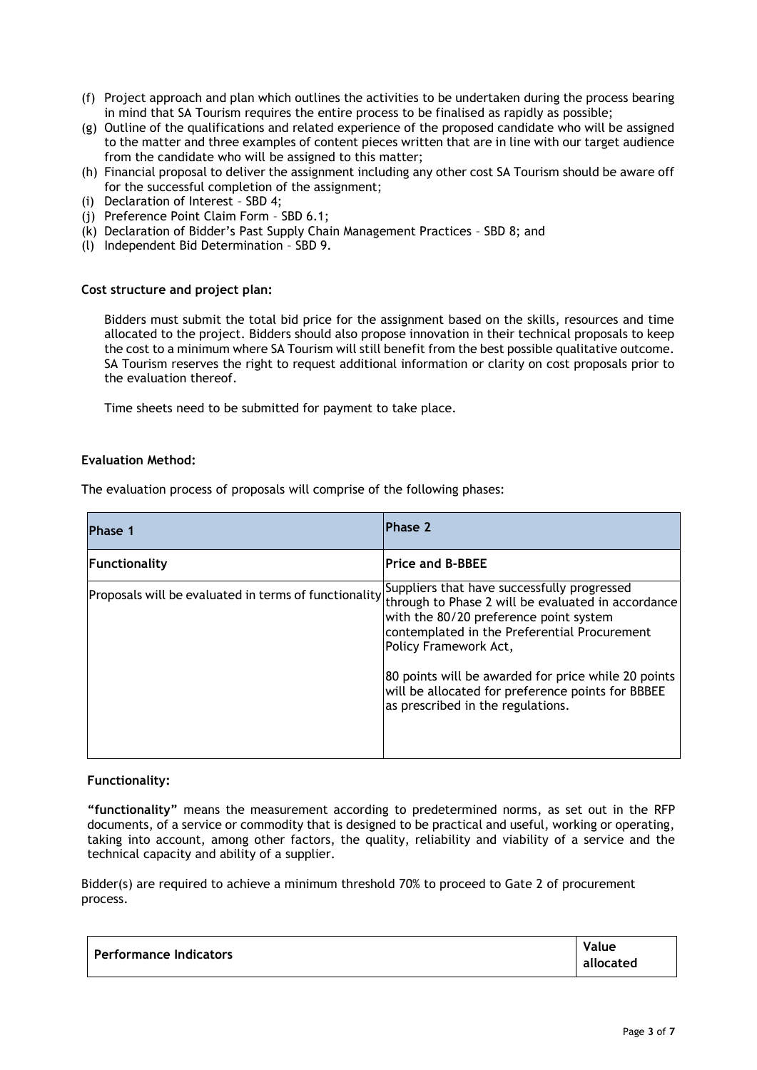- (f) Project approach and plan which outlines the activities to be undertaken during the process bearing in mind that SA Tourism requires the entire process to be finalised as rapidly as possible;
- (g) Outline of the qualifications and related experience of the proposed candidate who will be assigned to the matter and three examples of content pieces written that are in line with our target audience from the candidate who will be assigned to this matter;
- (h) Financial proposal to deliver the assignment including any other cost SA Tourism should be aware off for the successful completion of the assignment;
- (i) Declaration of Interest SBD 4;
- (j) Preference Point Claim Form SBD 6.1;
- (k) Declaration of Bidder's Past Supply Chain Management Practices SBD 8; and
- (l) Independent Bid Determination SBD 9.

#### **Cost structure and project plan:**

Bidders must submit the total bid price for the assignment based on the skills, resources and time allocated to the project. Bidders should also propose innovation in their technical proposals to keep the cost to a minimum where SA Tourism will still benefit from the best possible qualitative outcome. SA Tourism reserves the right to request additional information or clarity on cost proposals prior to the evaluation thereof.

Time sheets need to be submitted for payment to take place.

#### **Evaluation Method:**

The evaluation process of proposals will comprise of the following phases:

| <b>Phase 1</b> | Phase 2                                                                                                                                                                                                                                                                                                                                                                                                                                                   |
|----------------|-----------------------------------------------------------------------------------------------------------------------------------------------------------------------------------------------------------------------------------------------------------------------------------------------------------------------------------------------------------------------------------------------------------------------------------------------------------|
| Functionality  | <b>Price and B-BBEE</b>                                                                                                                                                                                                                                                                                                                                                                                                                                   |
|                | Suppliers that have successfully progressed<br>$\vert$ Proposals will be evaluated in terms of functionality $\vert$ <sup>34</sup> through to Phase 2 will be evaluated in accordance<br>with the 80/20 preference point system<br>contemplated in the Preferential Procurement<br>Policy Framework Act,<br>80 points will be awarded for price while 20 points<br>will be allocated for preference points for BBBEE<br>as prescribed in the regulations. |

#### **Functionality:**

**"functionality"** means the measurement according to predetermined norms, as set out in the RFP documents, of a service or commodity that is designed to be practical and useful, working or operating, taking into account, among other factors, the quality, reliability and viability of a service and the technical capacity and ability of a supplier.

Bidder(s) are required to achieve a minimum threshold 70% to proceed to Gate 2 of procurement process.

| <b>Performance Indicators</b> | Value     |
|-------------------------------|-----------|
|                               | allocated |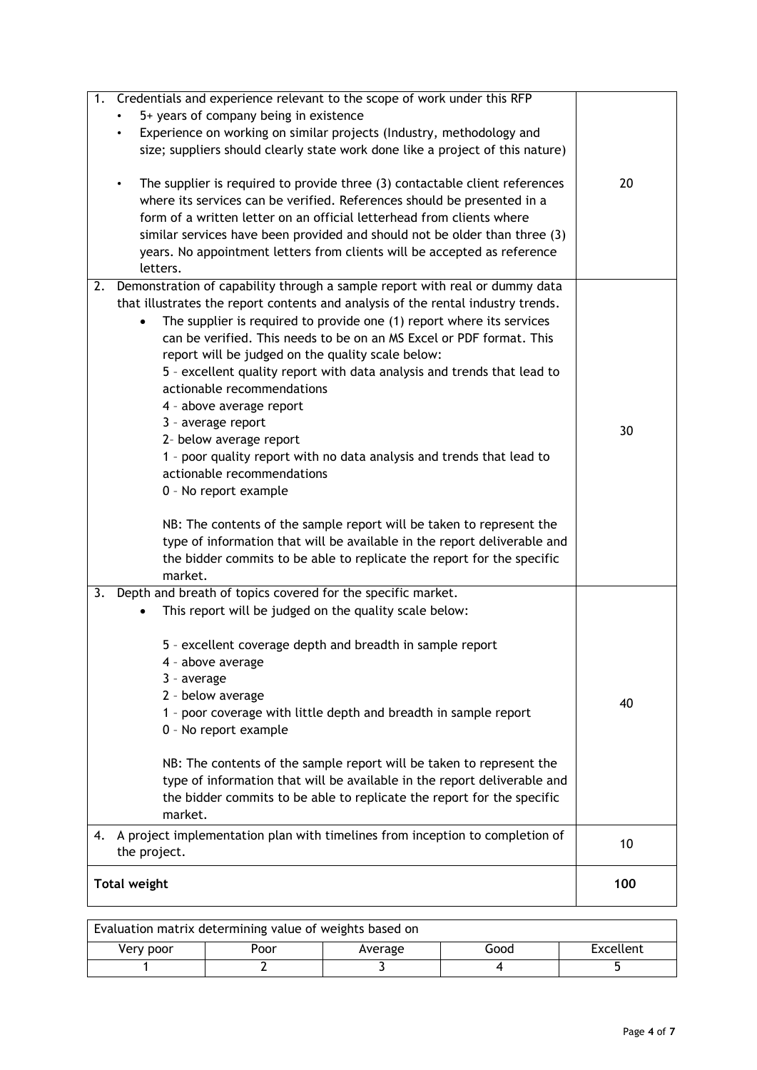| Credentials and experience relevant to the scope of work under this RFP<br>1.<br>5+ years of company being in existence<br>Experience on working on similar projects (Industry, methodology and<br>$\bullet$<br>size; suppliers should clearly state work done like a project of this nature)<br>The supplier is required to provide three (3) contactable client references<br>$\bullet$                                                                                                                                                                                                                                                                                                                                                                                                                                                                                                                                                    | 20  |
|----------------------------------------------------------------------------------------------------------------------------------------------------------------------------------------------------------------------------------------------------------------------------------------------------------------------------------------------------------------------------------------------------------------------------------------------------------------------------------------------------------------------------------------------------------------------------------------------------------------------------------------------------------------------------------------------------------------------------------------------------------------------------------------------------------------------------------------------------------------------------------------------------------------------------------------------|-----|
| where its services can be verified. References should be presented in a<br>form of a written letter on an official letterhead from clients where<br>similar services have been provided and should not be older than three (3)<br>years. No appointment letters from clients will be accepted as reference<br>letters.                                                                                                                                                                                                                                                                                                                                                                                                                                                                                                                                                                                                                       |     |
| Demonstration of capability through a sample report with real or dummy data<br>2.<br>that illustrates the report contents and analysis of the rental industry trends.<br>The supplier is required to provide one (1) report where its services<br>$\bullet$<br>can be verified. This needs to be on an MS Excel or PDF format. This<br>report will be judged on the quality scale below:<br>5 - excellent quality report with data analysis and trends that lead to<br>actionable recommendations<br>4 - above average report<br>3 - average report<br>2- below average report<br>1 - poor quality report with no data analysis and trends that lead to<br>actionable recommendations<br>0 - No report example<br>NB: The contents of the sample report will be taken to represent the<br>type of information that will be available in the report deliverable and<br>the bidder commits to be able to replicate the report for the specific | 30  |
| market.<br>Depth and breath of topics covered for the specific market.<br>3.<br>This report will be judged on the quality scale below:<br>5 - excellent coverage depth and breadth in sample report<br>4 - above average<br>3 - average<br>2 - below average<br>1 - poor coverage with little depth and breadth in sample report<br>0 - No report example<br>NB: The contents of the sample report will be taken to represent the<br>type of information that will be available in the report deliverable and<br>the bidder commits to be able to replicate the report for the specific<br>market.<br>A project implementation plan with timelines from inception to completion of<br>4.                                                                                                                                                                                                                                                     | 40  |
| the project.                                                                                                                                                                                                                                                                                                                                                                                                                                                                                                                                                                                                                                                                                                                                                                                                                                                                                                                                 | 10  |
| <b>Total weight</b>                                                                                                                                                                                                                                                                                                                                                                                                                                                                                                                                                                                                                                                                                                                                                                                                                                                                                                                          | 100 |

| Evaluation matrix determining value of weights based on |      |         |      |           |
|---------------------------------------------------------|------|---------|------|-----------|
| Very poor                                               | Poor | Average | Good | Excellent |
|                                                         |      |         |      |           |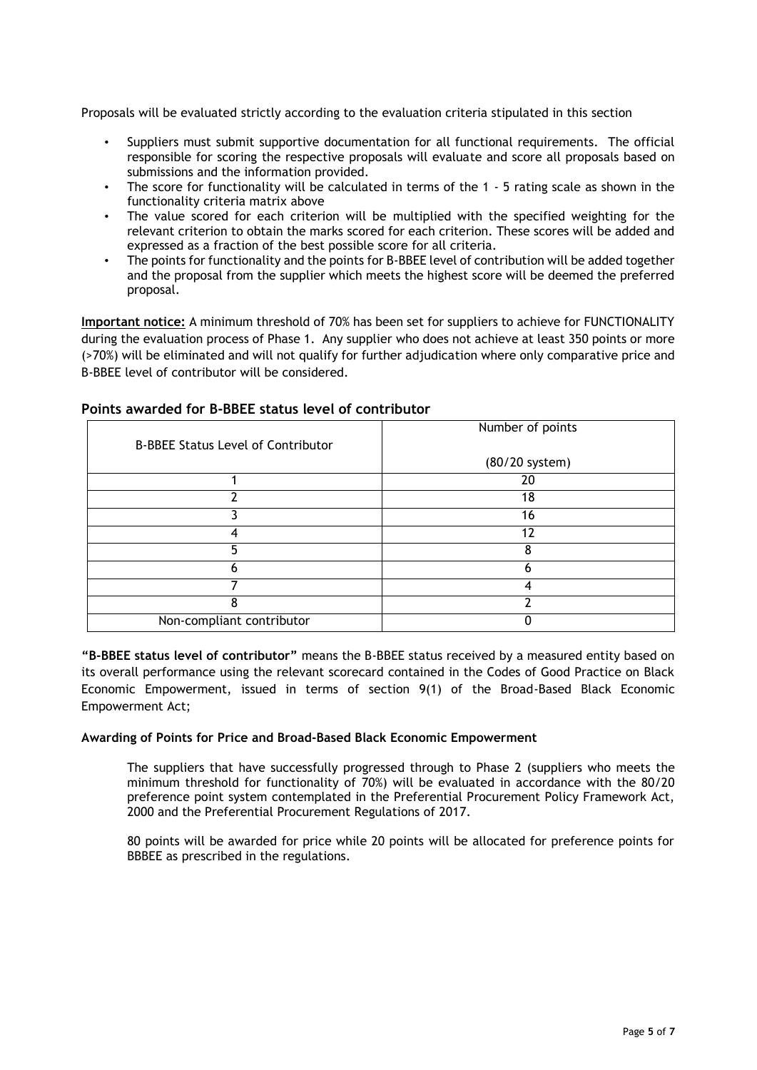Proposals will be evaluated strictly according to the evaluation criteria stipulated in this section

- Suppliers must submit supportive documentation for all functional requirements. The official responsible for scoring the respective proposals will evaluate and score all proposals based on submissions and the information provided.
- The score for functionality will be calculated in terms of the 1 5 rating scale as shown in the functionality criteria matrix above
- The value scored for each criterion will be multiplied with the specified weighting for the relevant criterion to obtain the marks scored for each criterion. These scores will be added and expressed as a fraction of the best possible score for all criteria.
- The points for functionality and the points for B-BBEE level of contribution will be added together and the proposal from the supplier which meets the highest score will be deemed the preferred proposal.

**Important notice:** A minimum threshold of 70% has been set for suppliers to achieve for FUNCTIONALITY during the evaluation process of Phase 1. Any supplier who does not achieve at least 350 points or more (>70%) will be eliminated and will not qualify for further adjudication where only comparative price and B-BBEE level of contributor will be considered.

| <b>B-BBEE Status Level of Contributor</b> | Number of points |  |
|-------------------------------------------|------------------|--|
|                                           | (80/20 system)   |  |
|                                           | 20               |  |
|                                           | 18               |  |
|                                           | 16               |  |
|                                           | 12               |  |
|                                           |                  |  |
|                                           |                  |  |
|                                           |                  |  |
|                                           |                  |  |
| Non-compliant contributor                 |                  |  |

# **Points awarded for B-BBEE status level of contributor**

**"B-BBEE status level of contributor"** means the B-BBEE status received by a measured entity based on its overall performance using the relevant scorecard contained in the Codes of Good Practice on Black Economic Empowerment, issued in terms of section 9(1) of the Broad-Based Black Economic Empowerment Act;

# **Awarding of Points for Price and Broad-Based Black Economic Empowerment**

The suppliers that have successfully progressed through to Phase 2 (suppliers who meets the minimum threshold for functionality of 70%) will be evaluated in accordance with the 80/20 preference point system contemplated in the Preferential Procurement Policy Framework Act, 2000 and the Preferential Procurement Regulations of 2017.

80 points will be awarded for price while 20 points will be allocated for preference points for BBBEE as prescribed in the regulations.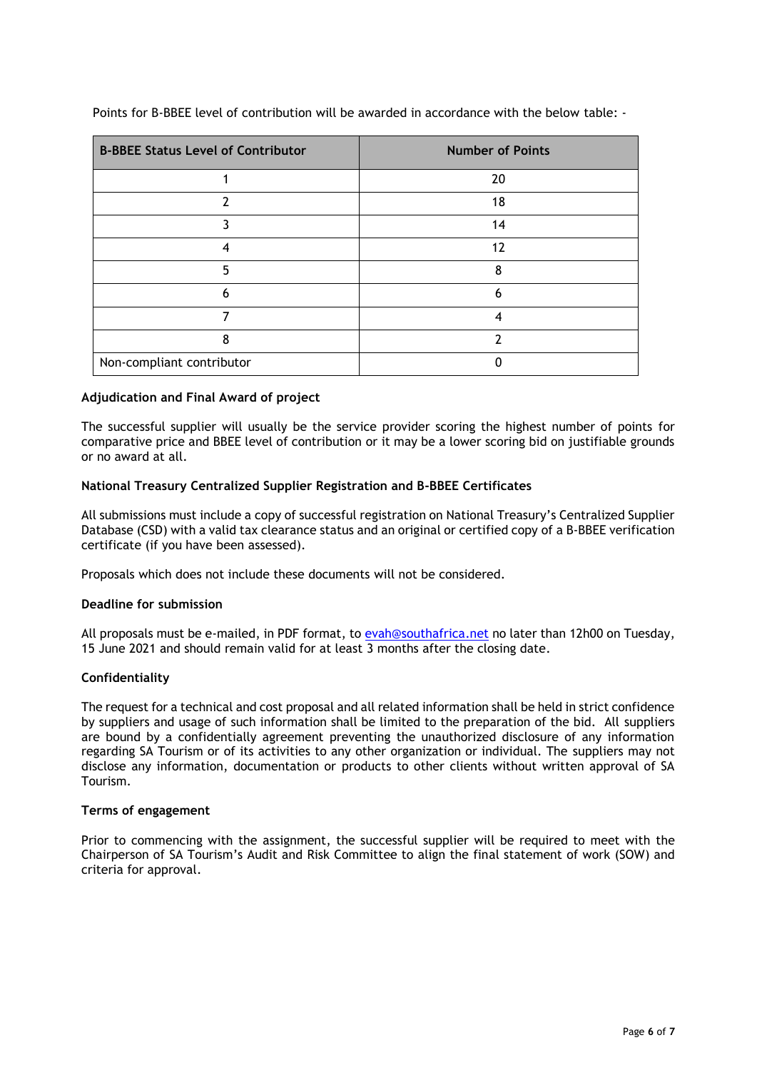| <b>B-BBEE Status Level of Contributor</b> | <b>Number of Points</b> |
|-------------------------------------------|-------------------------|
|                                           | 20                      |
|                                           | 18                      |
| ર                                         | 14                      |
| 4                                         | 12                      |
| 5                                         | 8                       |
| 6                                         | 6                       |
|                                           | 4                       |
| 8                                         | າ                       |
| Non-compliant contributor                 |                         |

Points for B-BBEE level of contribution will be awarded in accordance with the below table: -

# **Adjudication and Final Award of project**

The successful supplier will usually be the service provider scoring the highest number of points for comparative price and BBEE level of contribution or it may be a lower scoring bid on justifiable grounds or no award at all.

# **National Treasury Centralized Supplier Registration and B-BBEE Certificates**

All submissions must include a copy of successful registration on National Treasury's Centralized Supplier Database (CSD) with a valid tax clearance status and an original or certified copy of a B-BBEE verification certificate (if you have been assessed).

Proposals which does not include these documents will not be considered.

# **Deadline for submission**

All proposals must be e-mailed, in PDF format, to [evah@southafrica.net](file:///C:/Users/evah/Downloads/evah@southafrica.net) no later than 12h00 on Tuesday, 15 June 2021 and should remain valid for at least 3 months after the closing date.

# **Confidentiality**

The request for a technical and cost proposal and all related information shall be held in strict confidence by suppliers and usage of such information shall be limited to the preparation of the bid. All suppliers are bound by a confidentially agreement preventing the unauthorized disclosure of any information regarding SA Tourism or of its activities to any other organization or individual. The suppliers may not disclose any information, documentation or products to other clients without written approval of SA Tourism.

#### **Terms of engagement**

Prior to commencing with the assignment, the successful supplier will be required to meet with the Chairperson of SA Tourism's Audit and Risk Committee to align the final statement of work (SOW) and criteria for approval.